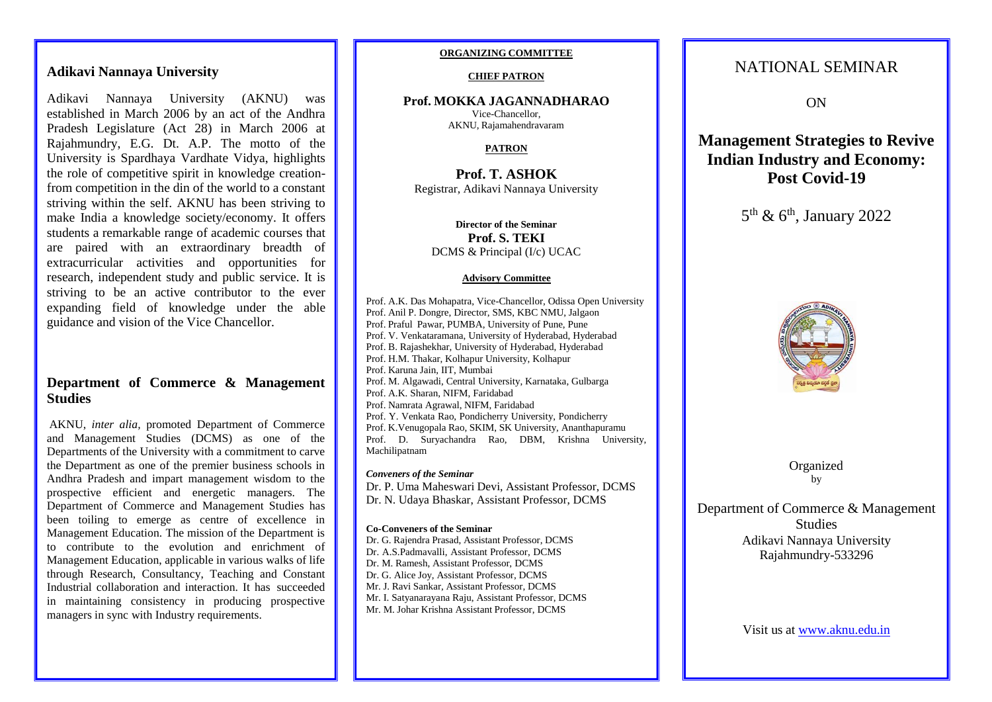# **Adikavi Nannaya University**

Adikavi Nannaya University (AKNU) was established in March 2006 by an act of the Andhra Pradesh Legislature (Act 28) in March 2006 at Rajahmundry, E.G. Dt. A.P. The motto of the University is Spardhaya Vardhate Vidya, highlights the role of competitive spirit in knowledge creationfrom competition in the din of the world to a constant striving within the self. AKNU has been striving to make India a knowledge society/economy. It offers students a remarkable range of academic courses that are paired with an extraordinary breadth of extracurricular activities and opportunities for research, independent study and public service. It is striving to be an active contributor to the ever expanding field of knowledge under the able guidance and vision of the Vice Chancellor.

# **Department of Commerce & Management Studies**

AKNU, *inter alia,* promoted Department of Commerce and Management Studies (DCMS) as one of the Departments of the University with a commitment to carve the Department as one of the premier business schools in Andhra Pradesh and impart management wisdom to the prospective efficient and energetic managers. The Department of Commerce and Management Studies has been toiling to emerge as centre of excellence in Management Education. The mission of the Department is to contribute to the evolution and enrichment of Management Education, applicable in various walks of life through Research, Consultancy, Teaching and Constant Industrial collaboration and interaction. It has succeeded in maintaining consistency in producing prospective managers in sync with Industry requirements.

# **ORGANIZING COMMITTEE**

### **CHIEF PATRON**

**Prof. MOKKA JAGANNADHARAO** Vice-Chancellor, AKNU, Rajamahendravaram

# **PATRON**

**Prof. T. ASHOK** Registrar, Adikavi Nannaya University

**Director of the Seminar Prof. S. TEKI** DCMS & Principal (I/c) UCAC

### **Advisory Committee**

Prof. A.K. Das Mohapatra, Vice-Chancellor, Odissa Open University Prof. Anil P. Dongre, Director, SMS, KBC NMU, Jalgaon Prof. Praful Pawar, PUMBA, University of Pune, Pune Prof. V. Venkataramana, University of Hyderabad, Hyderabad Prof. B. Rajashekhar, University of Hyderabad, Hyderabad Prof. H.M. Thakar, Kolhapur University, Kolhapur Prof. Karuna Jain, IIT, Mumbai Prof. M. Algawadi, Central University, Karnataka, Gulbarga Prof. A.K. Sharan, NIFM, Faridabad Prof. Namrata Agrawal, NIFM, Faridabad Prof. Y. Venkata Rao, [Pondicherry](http://www.pondicherry.com/?Government) University, Pondicherry Prof. K.Venugopala Rao, SKIM, SK University, Ananthapuramu Prof. D. Suryachandra Rao, DBM, Krishna University, Machilipatnam

### *Conveners of the Seminar*

Dr. P. Uma Maheswari Devi, Assistant Professor, DCMS Dr. N. Udaya Bhaskar, Assistant Professor, DCMS

# **Co-Conveners of the Seminar**

Dr. G. Rajendra Prasad, Assistant Professor, DCMS Dr. A.S.Padmavalli, Assistant Professor, DCMS Dr. M. Ramesh, Assistant Professor, DCMS Dr. G. Alice Joy, Assistant Professor, DCMS Mr. J. Ravi Sankar, Assistant Professor, DCMS Mr. I. Satyanarayana Raju, Assistant Professor, DCMS Mr. M. Johar Krishna Assistant Professor, DCMS

# NATIONAL SEMINAR

ON

# **Management Strategies to Revive Indian Industry and Economy: Post Covid-19**

5<sup>th</sup> & 6<sup>th</sup>, January 2022



Organized by

Department of Commerce & Management **Studies** Adikavi Nannaya University Rajahmundry-533296

Visit us at [www.aknu.edu.in](http://www.aknu.edu.in/)